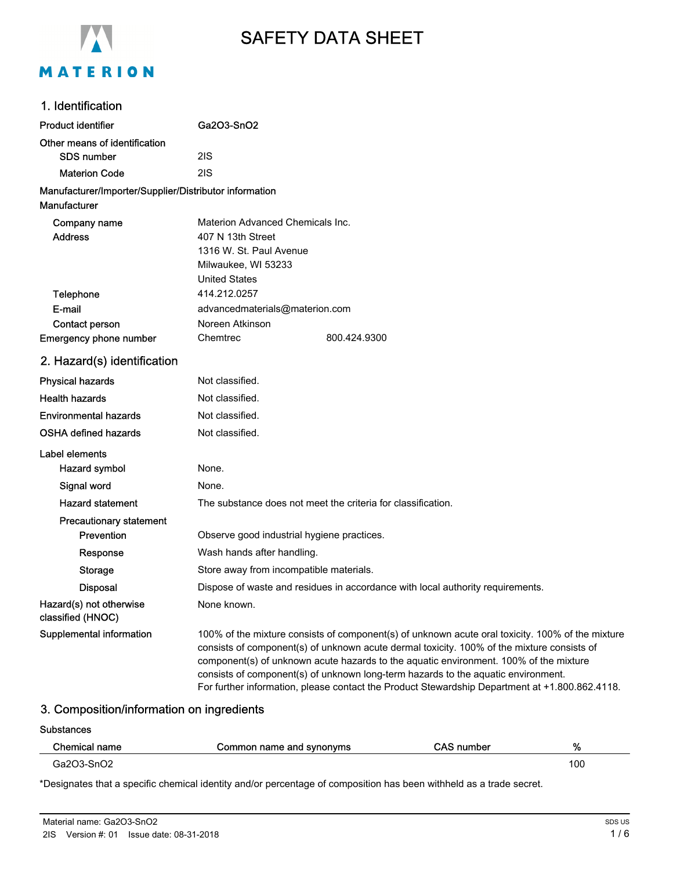

# SAFETY DATA SHEET

# 1. Identification

| <b>Product identifier</b>                                              | Ga2O3-SnO2                                                                                                                                                                                                                                                                                                                                                                                                                                                                     |
|------------------------------------------------------------------------|--------------------------------------------------------------------------------------------------------------------------------------------------------------------------------------------------------------------------------------------------------------------------------------------------------------------------------------------------------------------------------------------------------------------------------------------------------------------------------|
| Other means of identification                                          |                                                                                                                                                                                                                                                                                                                                                                                                                                                                                |
| SDS number                                                             | 2IS                                                                                                                                                                                                                                                                                                                                                                                                                                                                            |
| <b>Materion Code</b>                                                   | 2IS                                                                                                                                                                                                                                                                                                                                                                                                                                                                            |
| Manufacturer/Importer/Supplier/Distributor information<br>Manufacturer |                                                                                                                                                                                                                                                                                                                                                                                                                                                                                |
| Company name<br><b>Address</b>                                         | Materion Advanced Chemicals Inc.<br>407 N 13th Street<br>1316 W. St. Paul Avenue<br>Milwaukee, WI 53233<br><b>United States</b>                                                                                                                                                                                                                                                                                                                                                |
| <b>Telephone</b>                                                       | 414.212.0257                                                                                                                                                                                                                                                                                                                                                                                                                                                                   |
| E-mail                                                                 | advancedmaterials@materion.com                                                                                                                                                                                                                                                                                                                                                                                                                                                 |
| Contact person                                                         | Noreen Atkinson                                                                                                                                                                                                                                                                                                                                                                                                                                                                |
| Emergency phone number                                                 | Chemtrec<br>800.424.9300                                                                                                                                                                                                                                                                                                                                                                                                                                                       |
| 2. Hazard(s) identification                                            |                                                                                                                                                                                                                                                                                                                                                                                                                                                                                |
| <b>Physical hazards</b>                                                | Not classified.                                                                                                                                                                                                                                                                                                                                                                                                                                                                |
| <b>Health hazards</b>                                                  | Not classified.                                                                                                                                                                                                                                                                                                                                                                                                                                                                |
| <b>Environmental hazards</b>                                           | Not classified.                                                                                                                                                                                                                                                                                                                                                                                                                                                                |
| <b>OSHA defined hazards</b>                                            | Not classified.                                                                                                                                                                                                                                                                                                                                                                                                                                                                |
| Label elements                                                         |                                                                                                                                                                                                                                                                                                                                                                                                                                                                                |
| Hazard symbol                                                          | None.                                                                                                                                                                                                                                                                                                                                                                                                                                                                          |
| Signal word                                                            | None.                                                                                                                                                                                                                                                                                                                                                                                                                                                                          |
| <b>Hazard statement</b>                                                | The substance does not meet the criteria for classification.                                                                                                                                                                                                                                                                                                                                                                                                                   |
| Precautionary statement                                                |                                                                                                                                                                                                                                                                                                                                                                                                                                                                                |
| Prevention                                                             | Observe good industrial hygiene practices.                                                                                                                                                                                                                                                                                                                                                                                                                                     |
| Response                                                               | Wash hands after handling.                                                                                                                                                                                                                                                                                                                                                                                                                                                     |
| <b>Storage</b>                                                         | Store away from incompatible materials.                                                                                                                                                                                                                                                                                                                                                                                                                                        |
| <b>Disposal</b>                                                        | Dispose of waste and residues in accordance with local authority requirements.                                                                                                                                                                                                                                                                                                                                                                                                 |
| Hazard(s) not otherwise<br>classified (HNOC)                           | None known.                                                                                                                                                                                                                                                                                                                                                                                                                                                                    |
| Supplemental information                                               | 100% of the mixture consists of component(s) of unknown acute oral toxicity. 100% of the mixture<br>consists of component(s) of unknown acute dermal toxicity. 100% of the mixture consists of<br>component(s) of unknown acute hazards to the aquatic environment. 100% of the mixture<br>consists of component(s) of unknown long-term hazards to the aquatic environment.<br>For further information, please contact the Product Stewardship Department at +1.800.862.4118. |

# 3. Composition/information on ingredients

#### **Substances**

| Chemical name | Common name and synonyms | <b>CAS number</b> | %   |
|---------------|--------------------------|-------------------|-----|
| Ga2O3-SnO2    |                          |                   | 100 |

\*Designates that a specific chemical identity and/or percentage of composition has been withheld as a trade secret.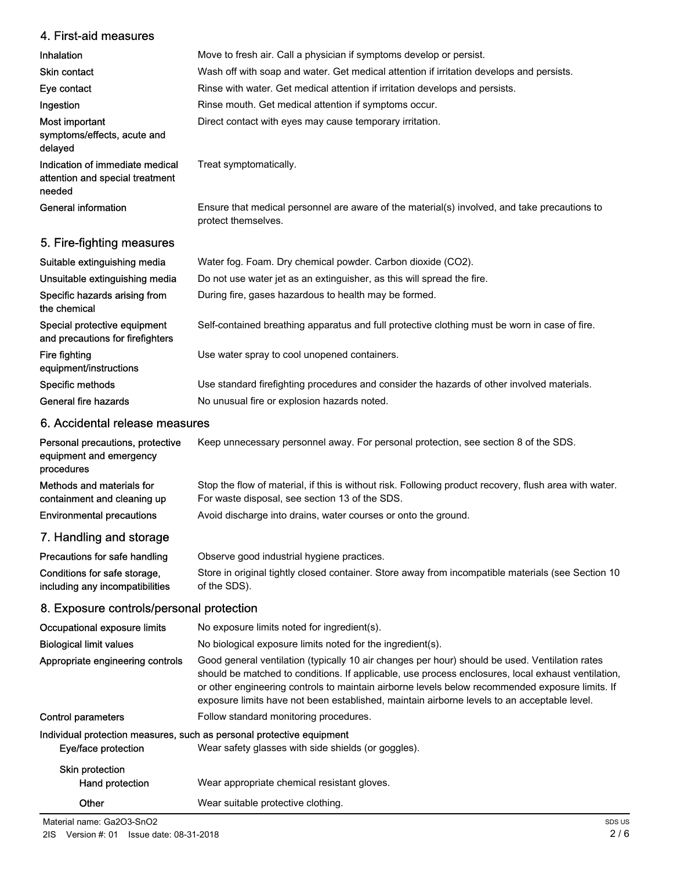# 4. First-aid measures

| Inhalation                                                                                                                                                                                                                     | Move to fresh air. Call a physician if symptoms develop or persist.                                                 |
|--------------------------------------------------------------------------------------------------------------------------------------------------------------------------------------------------------------------------------|---------------------------------------------------------------------------------------------------------------------|
| <b>Skin contact</b>                                                                                                                                                                                                            | Wash off with soap and water. Get medical attention if irritation develops and persists.                            |
| Eye contact                                                                                                                                                                                                                    | Rinse with water. Get medical attention if irritation develops and persists.                                        |
| Ingestion                                                                                                                                                                                                                      | Rinse mouth. Get medical attention if symptoms occur.                                                               |
| Most important<br>symptoms/effects, acute and<br>delayed                                                                                                                                                                       | Direct contact with eyes may cause temporary irritation.                                                            |
| Indication of immediate medical<br>attention and special treatment<br>needed                                                                                                                                                   | Treat symptomatically.                                                                                              |
| General information                                                                                                                                                                                                            | Ensure that medical personnel are aware of the material(s) involved, and take precautions to<br>protect themselves. |
| 5. Fire-fighting measures                                                                                                                                                                                                      |                                                                                                                     |
| Suitable extinguishing media                                                                                                                                                                                                   | Water fog. Foam. Dry chemical powder. Carbon dioxide (CO2).                                                         |
| the constitution of the constitution of the constitution of the constitution of the constitution of the constitution of the constitution of the constitution of the constitution of the constitution of the constitution of th | De seek op en onderstek een en en die solele en deur klein ook en een duiden. Daar                                  |

| Unsuitable extinguishing media                                   | Do not use water jet as an extinguisher, as this will spread the fire.                        |
|------------------------------------------------------------------|-----------------------------------------------------------------------------------------------|
| Specific hazards arising from<br>the chemical                    | During fire, gases hazardous to health may be formed.                                         |
| Special protective equipment<br>and precautions for firefighters | Self-contained breathing apparatus and full protective clothing must be worn in case of fire. |
| Fire fighting<br>equipment/instructions                          | Use water spray to cool unopened containers.                                                  |
| Specific methods                                                 | Use standard firefighting procedures and consider the hazards of other involved materials.    |
| General fire hazards                                             | No unusual fire or explosion hazards noted.                                                   |

# 6. Accidental release measures

| Personal precautions, protective<br>equipment and emergency<br>procedures | Keep unnecessary personnel away. For personal protection, see section 8 of the SDS.                                                                      |
|---------------------------------------------------------------------------|----------------------------------------------------------------------------------------------------------------------------------------------------------|
| Methods and materials for<br>containment and cleaning up                  | Stop the flow of material, if this is without risk. Following product recovery, flush area with water.<br>For waste disposal, see section 13 of the SDS. |
| <b>Environmental precautions</b>                                          | Avoid discharge into drains, water courses or onto the ground.                                                                                           |
| 7. Handling and storage                                                   |                                                                                                                                                          |

| Precautions for safe handling   | Observe good industrial hygiene practices.                                                         |
|---------------------------------|----------------------------------------------------------------------------------------------------|
| Conditions for safe storage,    | Store in original tightly closed container. Store away from incompatible materials (see Section 10 |
| including any incompatibilities | of the SDS).                                                                                       |

# 8. Exposure controls/personal protection

| Occupational exposure limits                                          | No exposure limits noted for ingredient(s).                                                                                                                                                                                                                                                                                                                                                            |
|-----------------------------------------------------------------------|--------------------------------------------------------------------------------------------------------------------------------------------------------------------------------------------------------------------------------------------------------------------------------------------------------------------------------------------------------------------------------------------------------|
| <b>Biological limit values</b>                                        | No biological exposure limits noted for the ingredient(s).                                                                                                                                                                                                                                                                                                                                             |
| Appropriate engineering controls                                      | Good general ventilation (typically 10 air changes per hour) should be used. Ventilation rates<br>should be matched to conditions. If applicable, use process enclosures, local exhaust ventilation,<br>or other engineering controls to maintain airborne levels below recommended exposure limits. If<br>exposure limits have not been established, maintain airborne levels to an acceptable level. |
| <b>Control parameters</b>                                             | Follow standard monitoring procedures.                                                                                                                                                                                                                                                                                                                                                                 |
| Individual protection measures, such as personal protective equipment |                                                                                                                                                                                                                                                                                                                                                                                                        |
| Eye/face protection                                                   | Wear safety glasses with side shields (or goggles).                                                                                                                                                                                                                                                                                                                                                    |
| <b>Skin protection</b>                                                |                                                                                                                                                                                                                                                                                                                                                                                                        |
| Hand protection                                                       | Wear appropriate chemical resistant gloves.                                                                                                                                                                                                                                                                                                                                                            |
| Other                                                                 | Wear suitable protective clothing.                                                                                                                                                                                                                                                                                                                                                                     |

Material name: Ga2O3-SnO2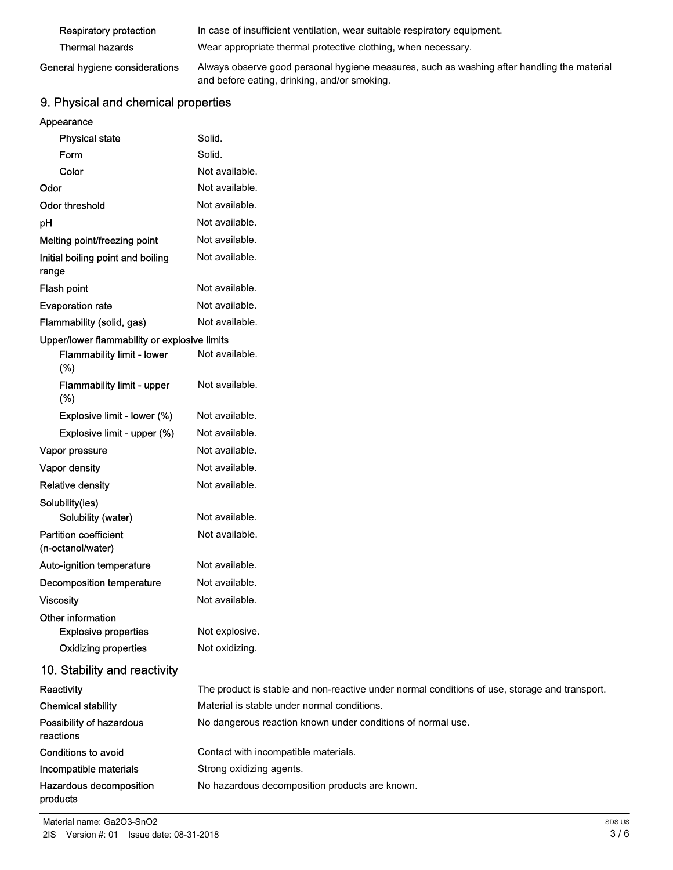| Respiratory protection         | In case of insufficient ventilation, wear suitable respiratory equipment.                  |
|--------------------------------|--------------------------------------------------------------------------------------------|
| <b>Thermal hazards</b>         | Wear appropriate thermal protective clothing, when necessary.                              |
| General hygiene considerations | Always observe good personal hygiene measures, such as washing after handling the material |

# and before eating, drinking, and/or smoking.

# 9. Physical and chemical properties

| Appearance |  |  |
|------------|--|--|

| <b>Physical state</b>                             | Solid.                                                                                        |
|---------------------------------------------------|-----------------------------------------------------------------------------------------------|
| Form                                              | Solid.                                                                                        |
| Color                                             | Not available.                                                                                |
| Odor                                              | Not available.                                                                                |
| <b>Odor threshold</b>                             | Not available.                                                                                |
| pH                                                | Not available.                                                                                |
| Melting point/freezing point                      | Not available.                                                                                |
| Initial boiling point and boiling<br>range        | Not available.                                                                                |
| <b>Flash point</b>                                | Not available.                                                                                |
| <b>Evaporation rate</b>                           | Not available.                                                                                |
| Flammability (solid, gas)                         | Not available.                                                                                |
| Upper/lower flammability or explosive limits      |                                                                                               |
| Flammability limit - lower<br>(%)                 | Not available.                                                                                |
| Flammability limit - upper<br>(% )                | Not available.                                                                                |
| Explosive limit - lower (%)                       | Not available.                                                                                |
| Explosive limit - upper (%)                       | Not available.                                                                                |
| Vapor pressure                                    | Not available.                                                                                |
| Vapor density                                     | Not available.                                                                                |
| <b>Relative density</b>                           | Not available.                                                                                |
| Solubility(ies)                                   |                                                                                               |
| Solubility (water)                                | Not available.                                                                                |
| <b>Partition coefficient</b><br>(n-octanol/water) | Not available.                                                                                |
| Auto-ignition temperature                         | Not available.                                                                                |
| <b>Decomposition temperature</b>                  | Not available.                                                                                |
| <b>Viscosity</b>                                  | Not available.                                                                                |
| Other information<br><b>Explosive properties</b>  | Not explosive.                                                                                |
| <b>Oxidizing properties</b>                       | Not oxidizing.                                                                                |
| 10. Stability and reactivity                      |                                                                                               |
| Reactivity                                        | The product is stable and non-reactive under normal conditions of use, storage and transport. |
| <b>Chemical stability</b>                         | Material is stable under normal conditions.                                                   |
| Possibility of hazardous<br>reactions             | No dangerous reaction known under conditions of normal use.                                   |
| <b>Conditions to avoid</b>                        | Contact with incompatible materials.                                                          |
| Incompatible materials                            | Strong oxidizing agents.                                                                      |
| Hazardous decomposition<br>products               | No hazardous decomposition products are known.                                                |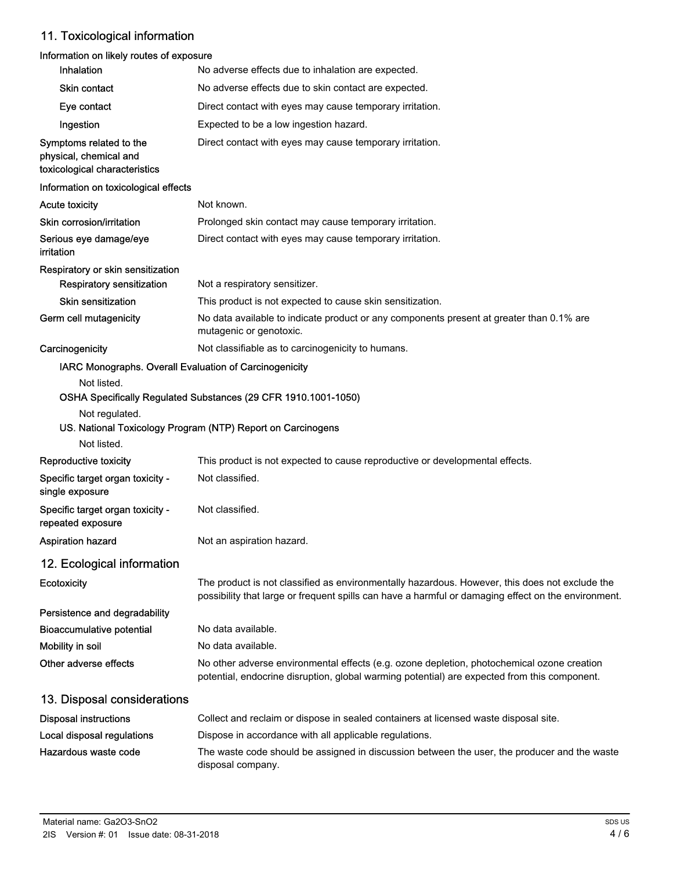# 11. Toxicological information

# Information on likely routes of exposure

| <b>Inhalation</b>                                                                  | No adverse effects due to inhalation are expected.                                                                                                                                                    |
|------------------------------------------------------------------------------------|-------------------------------------------------------------------------------------------------------------------------------------------------------------------------------------------------------|
| Skin contact                                                                       | No adverse effects due to skin contact are expected.                                                                                                                                                  |
| Eye contact                                                                        | Direct contact with eyes may cause temporary irritation.                                                                                                                                              |
| Ingestion                                                                          | Expected to be a low ingestion hazard.                                                                                                                                                                |
| Symptoms related to the<br>physical, chemical and<br>toxicological characteristics | Direct contact with eyes may cause temporary irritation.                                                                                                                                              |
| Information on toxicological effects                                               |                                                                                                                                                                                                       |
| <b>Acute toxicity</b>                                                              | Not known.                                                                                                                                                                                            |
| Skin corrosion/irritation                                                          | Prolonged skin contact may cause temporary irritation.                                                                                                                                                |
| Serious eye damage/eye<br>irritation                                               | Direct contact with eyes may cause temporary irritation.                                                                                                                                              |
| Respiratory or skin sensitization                                                  |                                                                                                                                                                                                       |
| <b>Respiratory sensitization</b>                                                   | Not a respiratory sensitizer.                                                                                                                                                                         |
| <b>Skin sensitization</b>                                                          | This product is not expected to cause skin sensitization.                                                                                                                                             |
| Germ cell mutagenicity                                                             | No data available to indicate product or any components present at greater than 0.1% are<br>mutagenic or genotoxic.                                                                                   |
| Carcinogenicity                                                                    | Not classifiable as to carcinogenicity to humans.                                                                                                                                                     |
| IARC Monographs. Overall Evaluation of Carcinogenicity                             |                                                                                                                                                                                                       |
| Not listed.                                                                        |                                                                                                                                                                                                       |
| Not regulated.                                                                     | OSHA Specifically Regulated Substances (29 CFR 1910.1001-1050)                                                                                                                                        |
|                                                                                    | US. National Toxicology Program (NTP) Report on Carcinogens                                                                                                                                           |
| Not listed.                                                                        |                                                                                                                                                                                                       |
| Reproductive toxicity                                                              | This product is not expected to cause reproductive or developmental effects.                                                                                                                          |
| Specific target organ toxicity -<br>single exposure                                | Not classified.                                                                                                                                                                                       |
| Specific target organ toxicity -<br>repeated exposure                              | Not classified.                                                                                                                                                                                       |
| Aspiration hazard                                                                  | Not an aspiration hazard.                                                                                                                                                                             |
| 12. Ecological information                                                         |                                                                                                                                                                                                       |
| Ecotoxicity                                                                        | The product is not classified as environmentally hazardous. However, this does not exclude the<br>possibility that large or frequent spills can have a harmful or damaging effect on the environment. |
| Persistence and degradability                                                      |                                                                                                                                                                                                       |
| Bioaccumulative potential                                                          | No data available.                                                                                                                                                                                    |
| Mobility in soil                                                                   | No data available.                                                                                                                                                                                    |
| Other adverse effects                                                              | No other adverse environmental effects (e.g. ozone depletion, photochemical ozone creation<br>potential, endocrine disruption, global warming potential) are expected from this component.            |
| 13. Disposal considerations                                                        |                                                                                                                                                                                                       |
| <b>Disposal instructions</b>                                                       | Collect and reclaim or dispose in sealed containers at licensed waste disposal site.                                                                                                                  |
| Local disposal regulations                                                         | Dispose in accordance with all applicable regulations.                                                                                                                                                |
| Hazardous waste code                                                               | The waste code should be assigned in discussion between the user, the producer and the waste<br>disposal company.                                                                                     |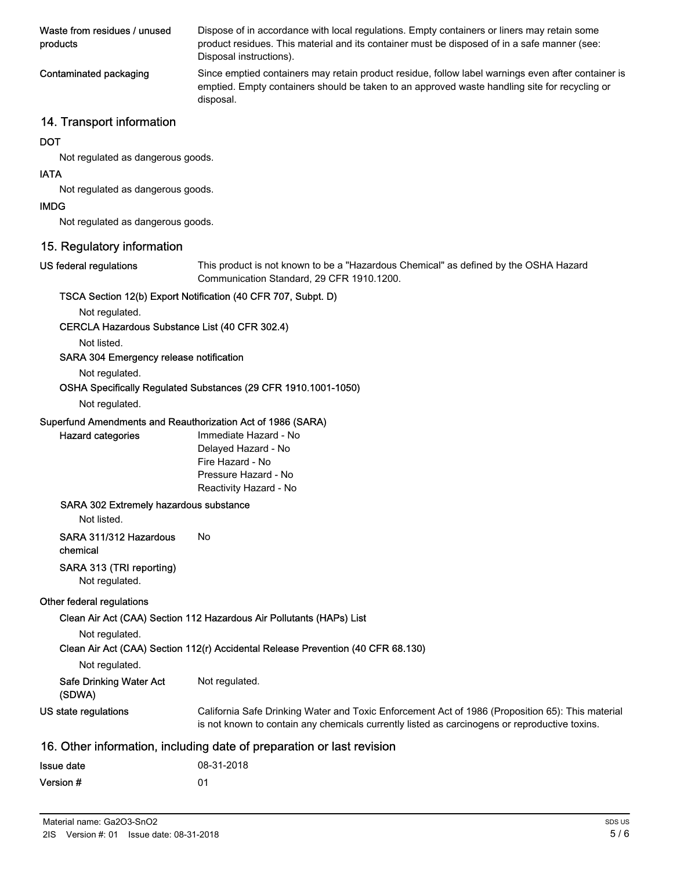| Waste from residues / unused<br>products | Dispose of in accordance with local regulations. Empty containers or liners may retain some<br>product residues. This material and its container must be disposed of in a safe manner (see:<br>Disposal instructions). |
|------------------------------------------|------------------------------------------------------------------------------------------------------------------------------------------------------------------------------------------------------------------------|
| Contaminated packaging                   | Since emptied containers may retain product residue, follow label warnings even after container is<br>emptied. Empty containers should be taken to an approved waste handling site for recycling or<br>disposal.       |

# 14. Transport information

### **DOT**

Not regulated as dangerous goods.

### IATA

Not regulated as dangerous goods.

### IMDG

Not regulated as dangerous goods.

# 15. Regulatory information

#### US federal regulations

This product is not known to be a "Hazardous Chemical" as defined by the OSHA Hazard Communication Standard, 29 CFR 1910.1200.

## TSCA Section 12(b) Export Notification (40 CFR 707, Subpt. D)

Not regulated.

#### CERCLA Hazardous Substance List (40 CFR 302.4)

Not listed.

## SARA 304 Emergency release notification

Not regulated.

## OSHA Specifically Regulated Substances (29 CFR 1910.1001-1050)

#### Not regulated.

Hazard categories

## Superfund Amendments and Reauthorization Act of 1986 (SARA)

| Immediate Hazard - No  |
|------------------------|
| Delayed Hazard - No    |
| Fire Hazard - No       |
| Pressure Hazard - No   |
| Reactivity Hazard - No |

#### SARA 302 Extremely hazardous substance

Not listed.

# SARA 311/312 Hazardous No

chemical

## SARA 313 (TRI reporting)

Not regulated.

#### Other federal regulations

Clean Air Act (CAA) Section 112 Hazardous Air Pollutants (HAPs) List

Not regulated.

## Clean Air Act (CAA) Section 112(r) Accidental Release Prevention (40 CFR 68.130)

|  | Not regulated. |
|--|----------------|
|--|----------------|

| <b>Safe Drinking Water Act</b> | Not regulated. |
|--------------------------------|----------------|
|--------------------------------|----------------|

- (SDWA)
- California Safe Drinking Water and Toxic Enforcement Act of 1986 (Proposition 65): This material is not known to contain any chemicals currently listed as carcinogens or reproductive toxins. US state regulations

## 16. Other information, including date of preparation or last revision

| <b>Issue date</b> | 08-31-2018 |
|-------------------|------------|
| Version #         | 01         |